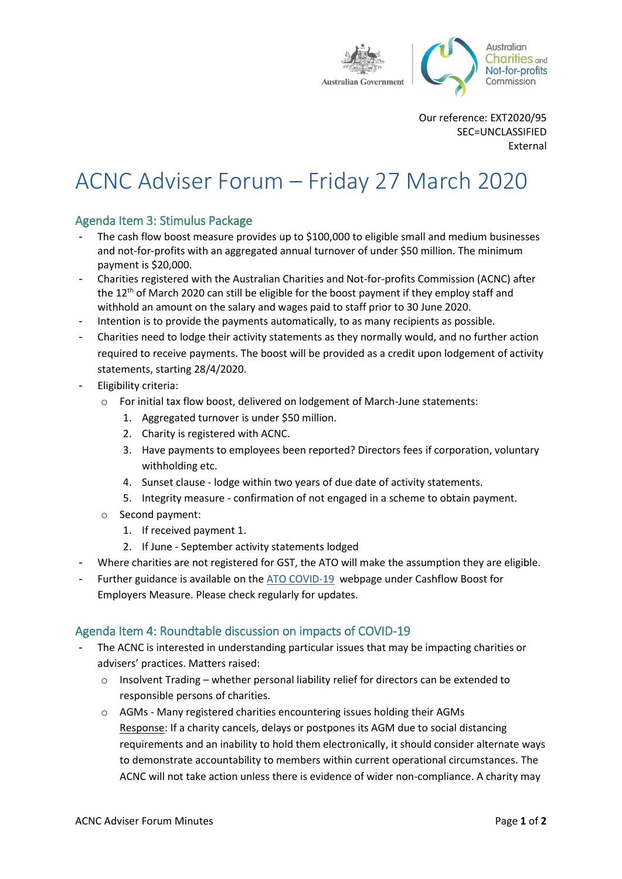

Our reference: EXT2020/95 SEC=UNCLASSIFIED External

# ACNC Adviser Forum – Friday 27 March 2020

## Agenda Item 3: Stimulus Package

- The cash flow boost measure provides up to \$100,000 to eligible small and medium businesses and not-for-profits with an aggregated annual turnover of under \$50 million. The minimum payment is \$20,000.
- Charities registered with the Australian Charities and Not-for-profits Commission (ACNC) after the 12<sup>th</sup> of March 2020 can still be eligible for the boost payment if they employ staff and withhold an amount on the salary and wages paid to staff prior to 30 June 2020.
- Intention is to provide the payments automatically, to as many recipients as possible.
- Charities need to lodge their activity statements as they normally would, and no further action required to receive payments. The boost will be provided as a credit upon lodgement of activity statements, starting 28/4/2020.
- Eligibility criteria:
	- o For initial tax flow boost, delivered on lodgement of March-June statements:
		- 1. Aggregated turnover is under \$50 million.
		- 2. Charity is registered with ACNC.
		- 3. Have payments to employees been reported? Directors fees if corporation, voluntary withholding etc.
		- 4. Sunset clause lodge within two years of due date of activity statements.
		- 5. Integrity measure confirmation of not engaged in a scheme to obtain payment.
	- o Second payment:
		- 1. If received payment 1.
		- 2. If June September activity statements lodged
- Where charities are not registered for GST, the ATO will make the assumption they are eligible.
- Further guidance is available on the [ATO COVID-19](http://ato.gov.au/coronavirus) webpage under Cashflow Boost for Employers Measure. Please check regularly for updates.

### Agenda Item 4: Roundtable discussion on impacts of COVID-19

- The ACNC is interested in understanding particular issues that may be impacting charities or advisers' practices. Matters raised:
	- $\circ$  Insolvent Trading whether personal liability relief for directors can be extended to responsible persons of charities.
	- o AGMs Many registered charities encountering issues holding their AGMs Response: If a charity cancels, delays or postpones its AGM due to social distancing requirements and an inability to hold them electronically, it should consider alternate ways to demonstrate accountability to members within current operational circumstances. The ACNC will not take action unless there is evidence of wider non-compliance. A charity may